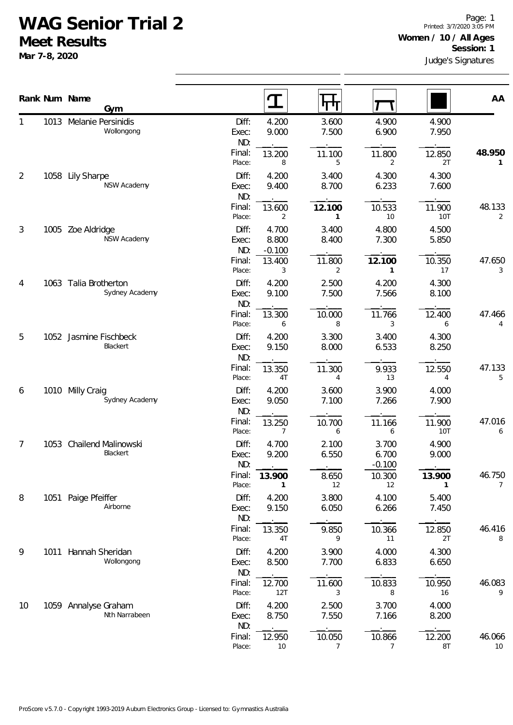## **WAG Senior Trial 2**

**Meet Results**

**Mar 7-8, 2020**

|    |      | Rank Num Name<br>Gym                    |                       | I                          | पाग                      |                            |                | AA           |
|----|------|-----------------------------------------|-----------------------|----------------------------|--------------------------|----------------------------|----------------|--------------|
|    |      | 1013 Melanie Persinidis<br>Wollongong   | Diff:<br>Exec:<br>ND: | 4.200<br>9.000             | 3.600<br>7.500           | 4.900<br>6.900             | 4.900<br>7.950 |              |
|    |      |                                         | Final:<br>Place:      | 13.200<br>8                | 11.100<br>5              | 11.800<br>2                | 12.850<br>2T   | 48.950<br>1  |
| 2  |      | 1058 Lily Sharpe<br><b>NSW Academy</b>  | Diff:<br>Exec:<br>ND: | 4.200<br>9.400             | 3.400<br>8.700           | 4.300<br>6.233             | 4.300<br>7.600 |              |
|    |      |                                         | Final:<br>Place:      | 13.600<br>2                | 12.100<br>1              | 10.533<br>10               | 11.900<br>10T  | 48.133<br>2  |
| 3  |      | 1005 Zoe Aldridge<br>NSW Academy        | Diff:<br>Exec:<br>ND: | 4.700<br>8.800<br>$-0.100$ | 3.400<br>8.400           | 4.800<br>7.300             | 4.500<br>5.850 |              |
|    |      |                                         | Final:<br>Place:      | 13.400<br>3                | 11.800<br>2              | 12.100<br>$\mathbf{1}$     | 10.350<br>17   | 47.650<br>3  |
| 4  |      | 1063 Talia Brotherton<br>Sydney Academy | Diff:<br>Exec:<br>ND: | 4.200<br>9.100             | 2.500<br>7.500           | 4.200<br>7.566             | 4.300<br>8.100 |              |
|    |      |                                         | Final:<br>Place:      | 13.300<br>6                | 10.000<br>8              | 11.766<br>3                | 12.400<br>6    | 47.466<br>4  |
| 5  |      | 1052 Jasmine Fischbeck<br>Blackert      | Diff:<br>Exec:<br>ND: | 4.200<br>9.150             | 3.300<br>8.000           | 3.400<br>6.533             | 4.300<br>8.250 |              |
|    |      |                                         | Final:<br>Place:      | 13.350<br>4T               | 11.300<br>4              | 9.933<br>13                | 12.550<br>4    | 47.133<br>5  |
| 6  | 1010 | Milly Craig<br>Sydney Academy           | Diff:<br>Exec:<br>ND: | 4.200<br>9.050             | 3.600<br>7.100           | 3.900<br>7.266             | 4.000<br>7.900 |              |
|    |      |                                         | Final:<br>Place:      | 13.250<br>7                | 10.700<br>6              | 11.166<br>6                | 11.900<br>10T  | 47.016<br>6  |
| 7  | 1053 | Chailend Malinowski<br>Blackert         | Diff:<br>Exec:<br>ND: | 4.700<br>9.200             | 2.100<br>6.550           | 3.700<br>6.700<br>$-0.100$ | 4.900<br>9.000 |              |
|    |      |                                         | Final:<br>Place:      | 13.900                     | 8.650<br>12              | 10.300<br>12               | 13.900<br>1    | 46.750<br>7  |
| 8  |      | 1051 Paige Pfeiffer<br>Airborne         | Diff:<br>Exec:<br>ND: | 4.200<br>9.150             | 3.800<br>6.050           | 4.100<br>6.266             | 5.400<br>7.450 |              |
|    |      |                                         | Final:<br>Place:      | 13.350<br>4T               | 9.850<br>9               | 10.366<br>11               | 12.850<br>2T   | 46.416<br>8  |
| 9  |      | 1011 Hannah Sheridan<br>Wollongong      | Diff:<br>Exec:<br>ND: | 4.200<br>8.500             | 3.900<br>7.700           | 4.000<br>6.833             | 4.300<br>6.650 |              |
|    |      |                                         | Final:<br>Place:      | 12.700<br>12T              | 11.600<br>3              | 10.833<br>8                | 10.950<br>16   | 46.083<br>9  |
| 10 |      | 1059 Annalyse Graham<br>Nth Narrabeen   | Diff:<br>Exec:<br>ND: | 4.200<br>8.750             | 2.500<br>7.550           | 3.700<br>7.166             | 4.000<br>8.200 |              |
|    |      |                                         | Final:<br>Place:      | 12.950<br>10               | 10.050<br>$\overline{7}$ | 10.866<br>$\overline{7}$   | 12.200<br>8T   | 46.066<br>10 |